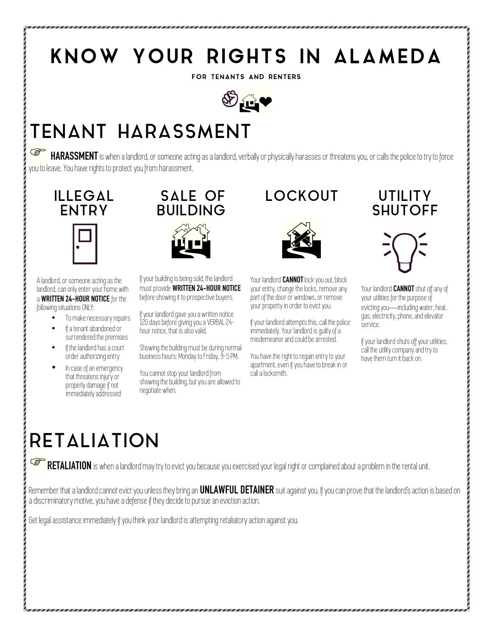## KNOW YOUR RIGHTS IN ALAMEDA

FOR TENANTS AND RENTERS



## TENANT HARASSMENT

**HARASSMENT** is when a landlord, or someone acting as a landlord, verbally or physically harasses or threatens you, or calls the police to try to force you to leave. You have rights to protect you from harassment.



A landlord, or someone acting as the landlord, can only enter your home with a **WRITTEN 24-HOUR NOTICE** for the following situations ONLY:

- To make necessary repairs
- If a tenant abandoned or surrendered the premises
- If the landlord has a court order authorizing entry
- In case of an emergency that threatens injury or properly damage if not immediately addressed



If your building is being sold, the landlord must provide **WRITTEN 24-HOUR NOTICE** before showing it to prospective buyers.

If your landlord gave you a written notice 120 days before giving you a VERBAL 24 hour notice, that is also valid.

Showing the building must be during normal business hours: Monday to Friday, 9-5 PM.

You cannot stop your landlord from showing the building, but you are allowed to negotiate when.

#### LOCKOUT UTILITY



Your landlord **CANNOT** lock you out, block your entry, change the locks, remove any part of the door or windows, or remove your property in order to evict you.

If your landlord attempts this, call the police immediately. Your landlord is guilty of a misdemeanor and could be arrested.

You have the right to regain entry to your apartment, even if you have to break in or call a locksmith.

# **SHUTOFF**



Your landlord **CANNOT** shut off any of your utilities for the purpose of evicting you—including water, heat, gas, electricity, phone, and elevator service.

If your landlord shuts off your utilities, call the utility company and try to have them turn it back on.

## **RETALIATION**

**FRETALIATION** is when a landlord may try to evict you because you exercised your legal right or complained about a problem in the rental unit.

Remember that a landlord cannot evict you unless they bring an **UNLAWFUL DETAINER** suit against you. If you can prove that the landlord's action is based on a discriminatory motive, you have a defense if they decide to pursue an eviction action.

Get legal assistance immediately if you think your landlord is attempting retaliatory action against you.